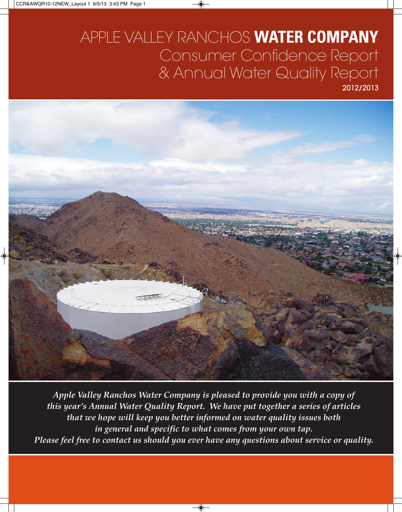# APPLE VALLEY RANCHOS **WATER COMPANY** Consumer Confidence Report & Annual Water Quality Report 2012/2013



*Apple Valley Ranchos Water Company is pleased to provide you with a copy of this year's Annual Water Quality Report. We have put together a series of articles that we hope will keep you better informed on water quality issues both in general and specific to what comes from your own tap. Please feel free to contact us should you ever have any questions about service or quality.*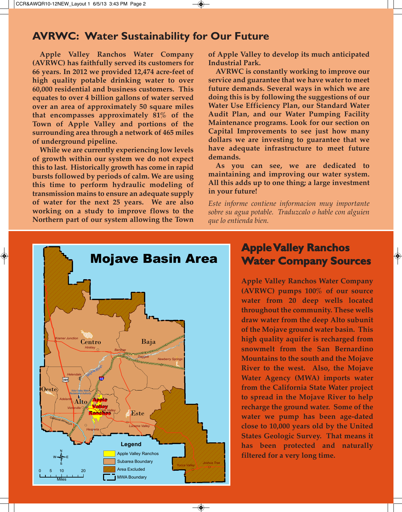# **AVRWC: Water Sustainability for Our Future**

**Apple Valley Ranchos Water Company (AVRWC) has faithfully served its customers for 66 years. In 2012 we provided 12,474 acre-feet of high quality potable drinking water to over 60,000 residential and business customers. This equates to over 4 billion gallons of water served over an area of approximately 50 square miles that encompasses approximately 81% of the Town of Apple Valley and portions of the surrounding area through a network of 465 miles of underground pipeline.**

**While we are currently experiencing low levels of growth within our system we do not expect this to last. Historically growth has come in rapid bursts followed by periods of calm. We are using this time to perform hydraulic modeling of transmission mains to ensure an adequate supply of water for the next 25 years. We are also working on a study to improve flows to the Northern part of our system allowing the Town**

**of Apple Valley to develop its much anticipated Industrial Park.** 

**AVRWC is constantly working to improve our service and guarantee that we have water to meet future demands. Several ways in which we are doing this is by following the suggestions of our Water Use Efficiency Plan, our Standard Water Audit Plan, and our Water Pumping Facility Maintenance programs. Look for our section on Capital Improvements to see just how many dollars we are investing to guarantee that we have adequate infrastructure to meet future demands.**

**As you can see, we are dedicated to maintaining and improving our water system. All this adds up to one thing; a large investment in your future!**

*Este informe contiene informacion muy importante sobre su agua potable. Traduzcalo o hable con alguien que lo entienda bien.*



 $\overline{\bullet}$ 

# **Apple Valley Ranchos Water Company Sources**

 $\bigcirc$ 

**Apple Valley Ranchos Water Company (AVRWC) pumps 100% of our source water from 20 deep wells located throughout the community. These wells draw water from the deep Alto subunit of the Mojave ground water basin. This high quality aquifer is recharged from snowmelt from the San Bernardino Mountains to the south and the Mojave River to the west. Also, the Mojave Water Agency (MWA) imports water from the California State Water project to spread in the Mojave River to help recharge the ground water. Some of the water we pump has been age-dated close to 10,000 years old by the United States Geologic Survey. That means it has been protected and naturally filtered for a very long time.**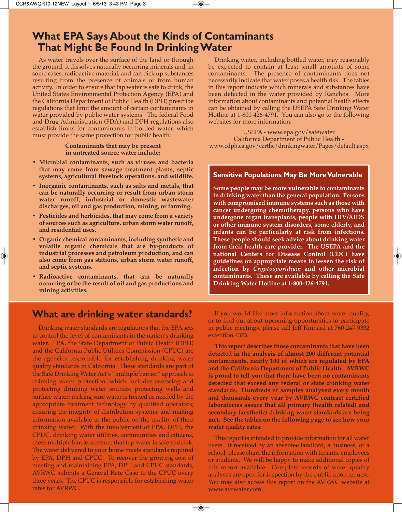# **What EPA Says About the Kinds of Contaminants That Might Be Found In Drinking Water**

As water travels over the surface of the land or through the ground, it dissolves naturally occurring minerals and, in some cases, radioactive material, and can pick up substances resulting from the presence of animals or from human activity. In order to ensure that tap water is safe to drink, the United States Environmental Protection Agency (EPA) and the California Department of Public Health (DPH) prescribe regulations that limit the amount of certain contaminants in water provided by public water systems. The federal Food and Drug Administration (FDA) and DPH regulations also establish limits for contaminants in bottled water, which must provide the same protection for public health.

### **Contaminants that may be present in untreated source water include:**

- **Microbial contaminants, such as viruses and bacteria that may come from sewage treatment plants, septic systems, agricultural livestock operations, and wildlife.**
- **Inorganic contaminants, such as salts and metals, that can be naturally occurring or result from urban storm water runoff, industrial or domestic wastewater discharges, oil and gas production, mining, or farming.**
- **Pesticides and herbicides, that may come from a variety of sources such as agriculture, urban storm water runoff, and residential uses.**
- **Organic chemical contaminants, including synthetic and volatile organic chemicals that are by-products of industrial processes and petroleum production, and can also come from gas stations, urban storm water runoff, and septic systems.**
- **Radioactive contaminants, that can be naturally occurring or be the result of oil and gas productions and mining activities.**

**What are drinking water standards?**

Drinking water standards are regulations that the EPA sets to control the level of contaminants in the nation's drinking water. EPA, the State Department of Public Health (DPH) and the California Public Utilities Commission (CPUC) are the agencies responsible for establishing drinking water quality standards in California. These standards are part of the Safe Drinking Water Act's "multiple barrier" approach to drinking water protection, which includes assessing and protecting drinking water sources; protecting wells and surface water; making sure water is treated as needed by the appropriate treatment technology by qualified operators; ensuring the integrity of distribution systems; and making information available to the public on the quality of their drinking water. With the involvement of EPA, DPH, the CPUC, drinking water utilities, communities and citizens, these multiple barriers ensure that tap water is safe to drink. The water delivered to your home meets standards required by EPA, DPH and CPUC. To recover the growing cost of meeting and maintaining EPA, DPH and CPUC standards, AVRWC submits a General Rate Case to the CPUC every three years. The CPUC is responsible for establishing water rates for AVRWC.

Drinking water, including bottled water, may reasonably be expected to contain at least small amounts of some contaminants. The presence of contaminants does not necessarily indicate that water poses a health risk. The tables in this report indicate which minerals and substances have been detected in the water provided by Ranchos. More information about contaminants and potential health effects can be obtained by calling the USEPA Safe Drinking Water Hotline at 1-800-426-4791. You can also go to the following websites for more information:

USEPA - www.epa.gov/safewater California Department of Public Health www.cdph.ca.gov/certlic/drinkingwater/Pages/default.aspx

### **Sensitive Populations May Be More Vulnerable**

**Some people may be more vulnerable to contaminants in drinking water than the general population. Persons with compromised immune systems such as those with cancer undergoing chemotherapy, persons who have undergone organ transplants, people with HIV/AIDS or other immune system disorders, some elderly, and infants can be particularly at risk from infections. These people should seek advice about drinking water from their health care provider. The USEPA and the national Centers for Disease Control (CDC) have guidelines on appropriate means to lessen the risk of infection by** *Cryptosporidium* **and other microbial contaminants. These are available by calling the Safe Drinking Water Hotline at 1-800-426-4791.**

If you would like more information about water quality, or to find out about upcoming opportunities to participate in public meetings, please call Jeff Kinnard at 760-247-9332 extention 4323.

**This report describes those contaminants that have been detected in the analysis of almost 200 different potential contaminants, nearly 100 of which are regulated by EPA and the California Department of Public Health. AVRWC is proud to tell you that there have been no contaminants detected that exceed any federal or state drinking water standards. Hundreds of samples analyzed every month and thousands every year by AVRWC contract certified laboratories assure that all primary (health related) and secondary (aesthetic) drinking water standards are being met. See the tables on the following page to see how your water quality rates.**

This report is intended to provide information for all water users. If received by an absentee landlord, a business, or a school, please share the information with tenants, employees or students. We will be happy to make additional copies of this report available. Complete records of water quality analyses are open for inspection by the public upon request. You may also access this report on the AVRWC website at www.avrwater.com.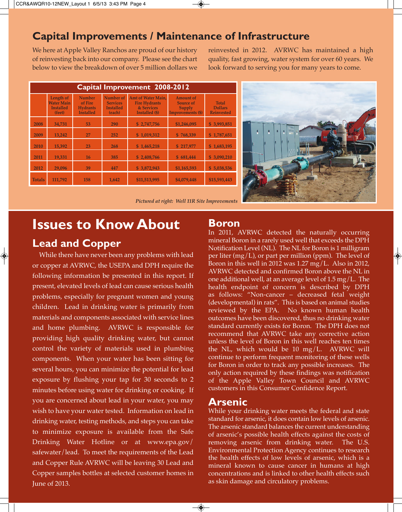# **Capital Improvements / Maintenance of Infrastructure**

We here at Apple Valley Ranchos are proud of our history of reinvesting back into our company. Please see the chart below to view the breakdown of over 5 million dollars we

reinvested in 2012. AVRWC has maintained a high quality, fast growing, water system for over 60 years. We look forward to serving you for many years to come.

| Capital Improvement 2008-2012 |                                                              |                                                                 |                                                            |                                                                            |                                                                     |                                                     |  |  |
|-------------------------------|--------------------------------------------------------------|-----------------------------------------------------------------|------------------------------------------------------------|----------------------------------------------------------------------------|---------------------------------------------------------------------|-----------------------------------------------------|--|--|
|                               | Length of<br><b>Water Main</b><br><b>Installed</b><br>(feet) | <b>Number</b><br>of Fire<br><b>Hydrants</b><br><b>Installed</b> | Number of<br><b>Services</b><br><b>Installed</b><br>(each) | Amt of Water Main,<br><b>Fire Hydrants</b><br>& Services<br>Installed (\$) | <b>Amount of</b><br>Source of<br>Supply<br><b>Improvements (\$)</b> | <b>Total</b><br><b>Dollars</b><br><b>Reinvested</b> |  |  |
| 2008                          | 34,731                                                       | 53                                                              | 290                                                        | \$2,747,756                                                                | \$1,246,095                                                         | \$3,993,851                                         |  |  |
| 2009                          | 13,242                                                       | 27                                                              | 252                                                        | \$1,019,312                                                                | \$768,339                                                           | \$1,787,651                                         |  |  |
| 2010                          | 15,392                                                       | 23                                                              | 268                                                        | \$1,465,218                                                                | \$217,977                                                           | \$1,683,195                                         |  |  |
| 2011                          | 19,331                                                       | 16                                                              | 385                                                        | \$2,408,766                                                                | \$681,444                                                           | \$3,090,210                                         |  |  |
| 2012                          | 29,096                                                       | 39                                                              | 447                                                        | \$3,872,943                                                                | \$1,165,593                                                         | \$5,038,536                                         |  |  |
| <b>Totals</b>                 | 111,792                                                      | 158                                                             | 1,642                                                      | \$11,513,995                                                               | \$4,079,448                                                         | \$15,593,443                                        |  |  |



*Pictured at right: Well 11R Site Improvements*

# **Issues to Know About Lead and Copper**

While there have never been any problems with lead or copper at AVRWC, the USEPA and DPH require the following information be presented in this report. If present, elevated levels of lead can cause serious health problems, especially for pregnant women and young children. Lead in drinking water is primarily from materials and components associated with service lines and home plumbing. AVRWC is responsible for providing high quality drinking water, but cannot control the variety of materials used in plumbing components. When your water has been sitting for several hours, you can minimize the potential for lead exposure by flushing your tap for 30 seconds to 2 minutes before using water for drinking or cooking. If you are concerned about lead in your water, you may wish to have your water tested. Information on lead in drinking water, testing methods, and steps you can take to minimize exposure is available from the Safe Drinking Water Hotline or at www.epa.gov/ safewater/lead. To meet the requirements of the Lead and Copper Rule AVRWC will be leaving 30 Lead and Copper samples bottles at selected customer homes in June of 2013.

### **Boron**

In 2011, AVRWC detected the naturally occurring mineral Boron in a rarely used well that exceeds the DPH Notification Level (NL). The NL for Boron is 1 milligram per liter (mg/L), or part per million (ppm). The level of Boron in this well in 2012 was 1.27 mg/L. Also in 2012, AVRWC detected and confirmed Boron above the NL in one additional well, at an average level of 1.5 mg/L. The health endpoint of concern is described by DPH as follows: "Non-cancer – decreased fetal weight (developmental) in rats". This is based on animal studies reviewed by the EPA. No known human health outcomes have been discovered, thus no drinking water standard currently exists for Boron. The DPH does not recommend that AVRWC take any corrective action unless the level of Boron in this well reaches ten times the NL, which would be  $10 \text{ mg/L}$ . AVRWC will continue to perform frequent monitoring of these wells for Boron in order to track any possible increases. The only action required by these findings was notification of the Apple Valley Town Council and AVRWC customers in this Consumer Confidence Report.

### **Arsenic**

 $\rightarrow$ 

While your drinking water meets the federal and state standard for arsenic, it does contain low levels of arsenic. The arsenic standard balances the current understanding of arsenic's possible health effects against the costs of removing arsenic from drinking water. The U.S. Environmental Protection Agency continues to research the health effects of low levels of arsenic, which is a mineral known to cause cancer in humans at high concentrations and is linked to other health effects such as skin damage and circulatory problems.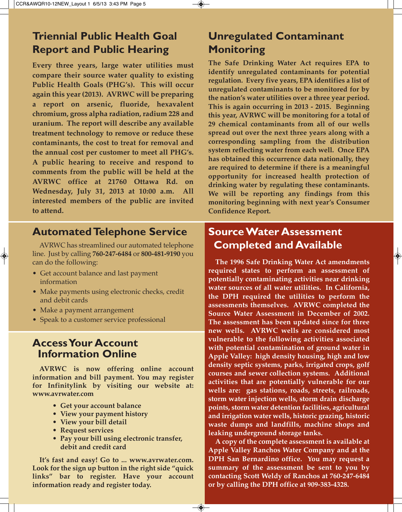# **Triennial Public Health Goal Report and Public Hearing**

**Every three years, large water utilities must compare their source water quality to existing Public Health Goals (PHG's). This will occur again this year (2013). AVRWC will be preparing a report on arsenic, fluoride, hexavalent chromium, gross alpha radiation, radium 228 and uranium. The report will describe any available treatment technology to remove or reduce these contaminants, the cost to treat for removal and the annual cost per customer to meet all PHG's. A public hearing to receive and respond to comments from the public will be held at the AVRWC office at 21760 Ottawa Rd. on Wednesday, July 31, 2013 at 10:00 a.m. All interested members of the public are invited to attend.**

# **Automated Telephone Service**

AVRWC has streamlined our automated telephone line. Just by calling **760-247-6484** or **800-481-9190** you can do the following:

- Get account balance and last payment information
- Make payments using electronic checks, credit and debit cards
- Make a payment arrangement
- Speak to a customer service professional

# **Access Your Account Information Online**

**AVRWC is now offering online account information and bill payment. You may register for Infinitylink by visiting our website at: www.avrwater.com**

- **Get your account balance**
- **View your payment history**
- **View your bill detail**
- **Request services**
- **Pay your bill using electronic transfer, debit and credit card**

**It's fast and easy! Go to ... www.avrwater.com. Look for the sign up button in the right side "quick links" bar to register. Have your account information ready and register today.**

# **Unregulated Contaminant Monitoring**

**The Safe Drinking Water Act requires EPA to identify unregulated contaminants for potential regulation. Every five years, EPA identifies a list of unregulated contaminants to be monitored for by the nation's water utilities over a three year period. This is again occurring in 2013 - 2015. Beginning this year, AVRWC will be monitoring for a total of 29 chemical contaminants from all of our wells spread out over the next three years along with a corresponding sampling from the distribution system reflecting water from each well. Once EPA has obtained this occurrence data nationally, they are required to determine if there is a meaningful opportunity for increased health protection of drinking water by regulating these contaminants. We will be reporting any findings from this monitoring beginning with next year's Consumer Confidence Report.**

# **Source Water Assessment Completed and Available**

 $\bigcirc$ 

**The 1996 Safe Drinking Water Act amendments required states to perform an assessment of potentially contaminating activities near drinking water sources of all water utilities. In California, the DPH required the utilities to perform the assessments themselves. AVRWC completed the Source Water Assessment in December of 2002. The assessment has been updated since for three new wells. AVRWC wells are considered most vulnerable to the following activities associated with potential contamination of ground water in Apple Valley: high density housing, high and low density septic systems, parks, irrigated crops, golf courses and sewer collection systems. Additional activities that are potentially vulnerable for our wells are: gas stations, roads, streets, railroads, storm water injection wells, storm drain discharge points, storm water detention facilities, agricultural and irrigation water wells, historic grazing, historic waste dumps and landfills, machine shops and leaking underground storage tanks.**

**A copy of the complete assessment is available at Apple Valley Ranchos Water Company and at the DPH San Bernardino office. You may request a summary of the assessment be sent to you by contacting Scott Weldy of Ranchos at 760-247-6484 or by calling the DPH office at 909-383-4328.**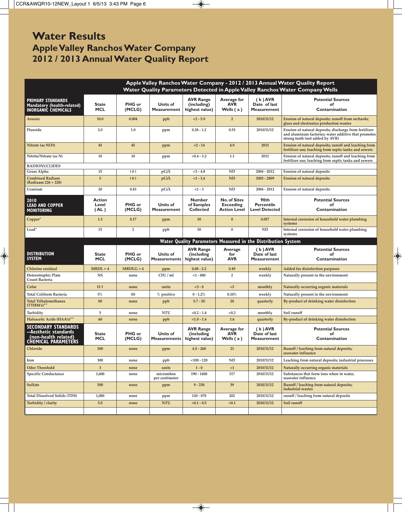◈

# **Water Results Apple Valley Ranchos Water Company 2012 / 2013 Annual Water Quality Report**

|                                                                                                    | Apple Valley Ranchos Water Company - 2012 / 2013 Annual Water Quality Report<br>Water Quality Parameters Detected in Apple Valley Ranchos Water Company Wells |                         |                                        |                                                              |                                                                |                                                    |                                                                                                                                                   |  |
|----------------------------------------------------------------------------------------------------|---------------------------------------------------------------------------------------------------------------------------------------------------------------|-------------------------|----------------------------------------|--------------------------------------------------------------|----------------------------------------------------------------|----------------------------------------------------|---------------------------------------------------------------------------------------------------------------------------------------------------|--|
| <b>PRIMARY STANDARDS</b><br>Mandatory (health-related)<br><b>INORGANIC CHEMICALS</b>               | <b>State</b><br><b>MCL</b>                                                                                                                                    | PHG or<br>(MCLG)        | Units of<br>Measurement                | <b>AVR Range</b><br>(including)<br>highest value)            | Average for<br><b>AVR</b><br>Wells $(a)$                       | $(b)$ AVR<br>Date of last<br><b>Measurement</b>    | <b>Potential Sources</b><br>of<br>Contamination                                                                                                   |  |
| Arsenic                                                                                            | 10.0                                                                                                                                                          | 0.004                   | ppb                                    | $<2 - 5.9$                                                   | $\overline{2}$                                                 | 2010/11/12                                         | Erosion of natural deposits; runoff from orchards;<br>glass and electronics production wastes                                                     |  |
| Fluoride                                                                                           | 2.0                                                                                                                                                           | 1.0                     | ppm                                    | $0.28 - 1.2$                                                 | 0.53                                                           | 2010/11/12                                         | Erosion of natural deposits; discharge from fertilizer<br>and aluminum factories; water additive that promotes<br>strong teeth (not added by AVR) |  |
| Nitrate (as NO3)                                                                                   | 45                                                                                                                                                            | 45                      | ppm                                    | $< 2 - 14$                                                   | 4.9                                                            | 2012                                               | Erosion of natural deposits; runoff and leaching from<br>fertilizer use; leaching from septic tanks and sewers                                    |  |
| Nitrite/Nitrate (as N)                                                                             | 10                                                                                                                                                            | 10                      | ppm                                    | $< 0.4 - 3.2$                                                | 1.1                                                            | 2012                                               | Erosion of natural deposits; runoff and leaching from<br>fertilizer use; leaching from septic tanks and sewers                                    |  |
| <b>RADIONUCLIDES</b>                                                                               |                                                                                                                                                               |                         |                                        |                                                              |                                                                |                                                    |                                                                                                                                                   |  |
| Gross Alpha                                                                                        | 15                                                                                                                                                            | (0)                     | pCi/L                                  | $<3 - 4.8$                                                   | <b>ND</b>                                                      | $2004 - 2012$                                      | Erosion of natural deposits                                                                                                                       |  |
| <b>Combined Radium</b><br>(Radiuam 226 + 228)                                                      | 5                                                                                                                                                             | (0)                     | pCi/L                                  | $<1 - 1.6$                                                   | <b>ND</b>                                                      | $2003 - 2009$                                      | Erosion of natural deposits                                                                                                                       |  |
| Uranium                                                                                            | 20                                                                                                                                                            | 0.43                    | pCi/L                                  | $<1 - 3$                                                     | <b>ND</b>                                                      | $2004 - 2012$                                      | Erosion of natural deposits                                                                                                                       |  |
| 2010<br><b>LEAD AND COPPER</b><br><b>MONITORING</b>                                                | <b>Action</b><br>Level<br>(AL)                                                                                                                                | <b>PHG</b> or<br>(MCLG) | Units of<br><b>Measurement</b>         | <b>Number</b><br>of Samples<br><b>Collected</b>              | <b>No. of Sites</b><br><b>Exceeding</b><br><b>Action Level</b> | 90th<br><b>Percentile</b><br><b>Level Detected</b> | <b>Potential Sources</b><br>of<br>Contamination                                                                                                   |  |
| Copper*                                                                                            | 1.3                                                                                                                                                           | 0.17                    | ppm                                    | 30                                                           | $\bf{0}$                                                       | 0.057                                              | Internal corrosion of household water plumbing<br>systems                                                                                         |  |
| Lead*                                                                                              | 15                                                                                                                                                            | $\overline{2}$          | ppb                                    | 30                                                           | $\bf{0}$                                                       | <b>ND</b>                                          | Internal corrosion of household water plumbing<br>systems                                                                                         |  |
|                                                                                                    |                                                                                                                                                               |                         |                                        | Water Quality Parameters Measured in the Distribution System |                                                                |                                                    |                                                                                                                                                   |  |
|                                                                                                    |                                                                                                                                                               |                         |                                        |                                                              |                                                                |                                                    |                                                                                                                                                   |  |
| <b>DISTRIBUTION</b><br><b>SYSTEM</b>                                                               | <b>State</b><br><b>MCL</b>                                                                                                                                    | PHG or<br>(MCLG)        | Units of<br><b>Measurements</b>        | <b>AVR Range</b><br>(including<br>highest value)             | Average<br>for<br><b>AVR</b>                                   | $(b)$ AVR<br>Date of last<br><b>Measurement</b>    | <b>Potential Sources</b><br>of<br>Contamination                                                                                                   |  |
| Chlorine residual                                                                                  | $MRDL = 4$                                                                                                                                                    | $MRDLG = 4$             |                                        | $0.08 - 2.2$                                                 | 0.49                                                           | weekly                                             | Added for disinfection purposes                                                                                                                   |  |
| Heterotrophic Plate<br>Count Bacteria                                                              | <b>NS</b>                                                                                                                                                     | none                    | ppm<br>CFU/ml                          | $<$ 1 - 880                                                  | $\overline{2}$                                                 | weekly                                             | Naturally present in the environment                                                                                                              |  |
| Color                                                                                              | 15#                                                                                                                                                           | none                    | units                                  | $<3 - 8$                                                     | $<$ 3                                                          | monthly                                            | Naturally occurring organic materials                                                                                                             |  |
| Total Coliform Bacteria                                                                            | 5%                                                                                                                                                            | (0)                     | % positive                             | $0 - 1.2%$                                                   | 0.10%                                                          | weekly                                             | Naturally present in the environment                                                                                                              |  |
| <b>Total Trihalomethanes</b><br>$(TTHM's)$ **                                                      | 80                                                                                                                                                            | none                    | ppb                                    | $5.7 - 20$                                                   | <b>20</b>                                                      | quarterly                                          | By-product of drinking water disinfection                                                                                                         |  |
| Turbidity                                                                                          | 5                                                                                                                                                             | none                    | <b>NTU</b>                             | $< 0.2 - 1.4$                                                | < 0.2                                                          | monthly                                            | Soil runoff                                                                                                                                       |  |
| Haloacetic Acids (HAA's)**                                                                         | 60                                                                                                                                                            | none                    | ppb                                    | $< 1.0 - 1.6$                                                | 1.6                                                            | quarterly                                          | By-product of drinking water disinfection                                                                                                         |  |
| <b>SECONDARY STANDARDS</b><br>--Aesthetic standards<br>(non-health related)<br>CHEMICAL PARAMETERS | <b>State</b><br><b>MCL</b>                                                                                                                                    | PHG or<br>(MCLG)        | <b>Units of</b><br><b>Measurements</b> | <b>AVR Range</b><br>(including<br>highest value)             | Average for<br><b>AVR</b><br>Wells (a)                         | $(b)$ AVR<br>Date of last<br><b>Measurement</b>    | <b>Potential Sources</b><br>of<br>Contamination                                                                                                   |  |
| Chloride                                                                                           | 500                                                                                                                                                           | none                    | ppm                                    | $4.5 - 260$                                                  | 21                                                             | 2010/11/12                                         | Runoff / leaching from natural deposits;<br>seawater influence                                                                                    |  |
| Iron                                                                                               | 300                                                                                                                                                           | none                    | ppb                                    | $<$ 100 - 120                                                | <b>ND</b>                                                      | 2010/11/12                                         | Leaching from natural deposits; industrial processes                                                                                              |  |
| <b>Odor Threshold</b>                                                                              | $\mathbf{3}$                                                                                                                                                  | none                    | units                                  | $1 - 0$                                                      | <1                                                             | 2010/11/12                                         | Naturally occurring organic materials                                                                                                             |  |
| <b>Specific Conductance</b>                                                                        | 1,600                                                                                                                                                         | none                    | micromhos<br>per centimeter            | $190 - 1400$                                                 | 317                                                            | 2010/11/12                                         | Substances that form ions when in water,<br>seawater influence                                                                                    |  |
| Sulfate                                                                                            | 500                                                                                                                                                           | none                    | ppm                                    | $9 - 230$                                                    | 39                                                             | 2010/11/12                                         | Runoff / leaching from natural deposits;<br>industrial wastes                                                                                     |  |
| <b>Total Dissolved Solids (TDS)</b>                                                                | 1,000                                                                                                                                                         | none                    | ppm                                    | $120 - 870$                                                  | 202                                                            | 2010/11/12                                         | runoff / leaching from natural deposits                                                                                                           |  |
| Turbidity / clarity                                                                                | 5.0                                                                                                                                                           | none                    | <b>NTU</b>                             | $< 0.1 - 0.5$                                                | < 0.1                                                          | 2010/11/12                                         | Soil runoff                                                                                                                                       |  |

 $\overline{\bigoplus\limits_{}}$ 

 $\bigcirc$ 

 $\bigcirc$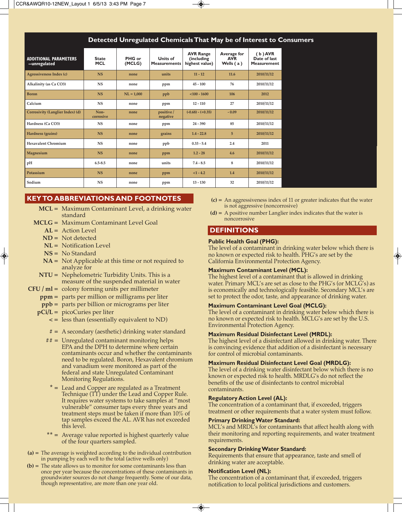### **Detected Unregulated Chemicals That May be of Interest to Consumers**

| <b>ADDITIONAL PARAMETERS</b><br>--unregulated | <b>State</b><br><b>MCL</b> | PHG or<br>(MCLG) | Units of<br><b>Measurements</b> | <b>AVR Range</b><br>(including<br>highest value) | Average for<br><b>AVR</b><br>Wells $(a)$ | $(b)$ AVR<br>Date of last<br><b>Measurement</b> |
|-----------------------------------------------|----------------------------|------------------|---------------------------------|--------------------------------------------------|------------------------------------------|-------------------------------------------------|
| Agressiveness Index (c)                       | <b>NS</b>                  | none             | units                           | $11 - 12$                                        | 11.6                                     | 2010/11/12                                      |
| Alkalinity (as Ca CO3)                        | <b>NS</b>                  | none             | ppm                             | $45 - 100$                                       | 76                                       | 2010/11/12                                      |
| <b>Boron</b>                                  | <b>NS</b>                  | $NL = 1,000$     | ppb                             | $< 100 - 1600$                                   | 106                                      | 2012                                            |
| Calcium                                       | <b>NS</b>                  | none             | ppm                             | $12 - 110$                                       | 27                                       | 2010/11/12                                      |
| Corrosivity (Langlier Index) (d)              | Non-<br>corrosive          | none             | positive/<br>negative           | $(-0.68) - (+0.35)$                              | $-0.09$                                  | 2010/11/12                                      |
| Hardness (Ca CO3)                             | <b>NS</b>                  | none             | ppm                             | $24 - 390$                                       | 85                                       | 2010/11/12                                      |
| Hardness (grains)                             | <b>NS</b>                  | none             | grains                          | $1.4 - 22.8$                                     | 5                                        | 2010/11/12                                      |
| Hexavalent Chromium                           | <b>NS</b>                  | none             | ppb                             | $0.33 - 5.4$                                     | 2.4                                      | 2011                                            |
| Magnesium                                     | <b>NS</b>                  | none             | ppm                             | $1.2 - 28$                                       | 4.6                                      | 2010/11/12                                      |
| pH                                            | $6.5 - 8.5$                | none             | units                           | $7.4 - 8.5$                                      | 8                                        | 2010/11/12                                      |
| Potassium                                     | <b>NS</b>                  | none             | ppm                             | $<1 - 4.2$                                       | 1.4                                      | 2010/11/12                                      |
| Sodium                                        | <b>NS</b>                  | none             | ppm                             | $13 - 130$                                       | 32                                       | 2010/11/12                                      |

### **KEY TO ABBREVIATIONS AND FOOTNOTES**

- **MCL =** Maximum Contaminant Level, a drinking water standard
- **MCLG =** Maximum Contaminant Level Goal
	- **AL =** Action Level
	- **ND =** Not detected
	- **NL =** Notification Level
	- **NS =** No Standard
	- **NA =** Not Applicable at this time or not required to analyze for
	- **NTU =** Nephelometric Turbidity Units. This is a measure of the suspended material in water
- **CFU / ml =** colony forming units per millimeter
	- **ppm =** parts per million or milligrams per liter
	- **ppb =** parts per billion or micrograms per liter
	- **pCi/L =** picoCuries per liter
		- **< =** less than (essentially equivalent to ND)
		- **# =** A secondary (aesthetic) drinking water standard
		- **## =** Unregulated contaminant monitoring helps EPA and the DPH to determine where certain contaminants occur and whether the contaminants need to be regulated. Boron, Hexavalent chromium and vanadium were monitored as part of the federal and state Unregulated Contaminant Monitoring Regulations.
			- **\* =** Lead and Copper are regulated as a Treatment Technique (TT) under the Lead and Copper Rule. It requires water systems to take samples at "most vulnerable" consumer taps every three years and treatment steps must be taken if more than 10% of tap samples exceed the AL. AVR has not exceeded this level.
		- **\*\* =** Average value reported is highest quarterly value of the four quarters sampled.
- **(a) =** The average is weighted according to the individual contribution in pumping by each well to the total (active wells only)
- **(b) =** The state allows us to monitor for some contaminants less than once per year because the concentrations of these contaminants in groundwater sources do not change frequently. Some of our data, though representative, are more than one year old.
- **(c) =** An aggressiveness index of 11 or greater indicates that the water is not aggressive (noncorrosive)
- **(d) =** A positive number Langlier index indicates that the water is noncorrosive

### **DEFINITIONS**

#### **Public Health Goal (PHG):**

The level of a contaminant in drinking water below which there is no known or expected risk to health. PHG's are set by the California Environmental Protection Agency.

#### **Maximum Contaminant Level (MCL):**

The highest level of a contaminant that is allowed in drinking water. Primary MCL's are set as close to the PHG's (or MCLG's) as is economically and technologically feasible. Secondary MCL's are set to protect the odor, taste, and appearance of drinking water.

### **Maximum Contaminant Level Goal (MCLG):**

The level of a contaminant in drinking water below which there is no known or expected risk to health. MCLG's are set by the U.S. Environmental Protection Agency.

### **Maximum Residual Disinfectant Level (MRDL):**

The highest level of a disinfectant allowed in drinking water. There is convincing evidence that addition of a disinfectant is necessary for control of microbial contaminants.

#### **Maximum Residual Disinfectant Level Goal (MRDLG):**

The level of a drinking water disinfectant below which there is no known or expected risk to health. MRDLG's do not reflect the benefits of the use of disinfectants to control microbial contaminants.

### **Regulatory Action Level (AL):**

The concentration of a contaminant that, if exceeded, triggers treatment or other requirements that a water system must follow.

#### **Primary Drinking Water Standard:**

MCL's and MRDL's for contaminants that affect health along with their monitoring and reporting requirements, and water treatment requirements.

### **Secondary Drinking Water Standard:**

Requirements that ensure that appearance, taste and smell of drinking water are acceptable.

### **Notification Level (NL):**

 $\rightarrow$ 

The concentration of a contaminant that, if exceeded, triggers notification to local political jurisdictions and customers.